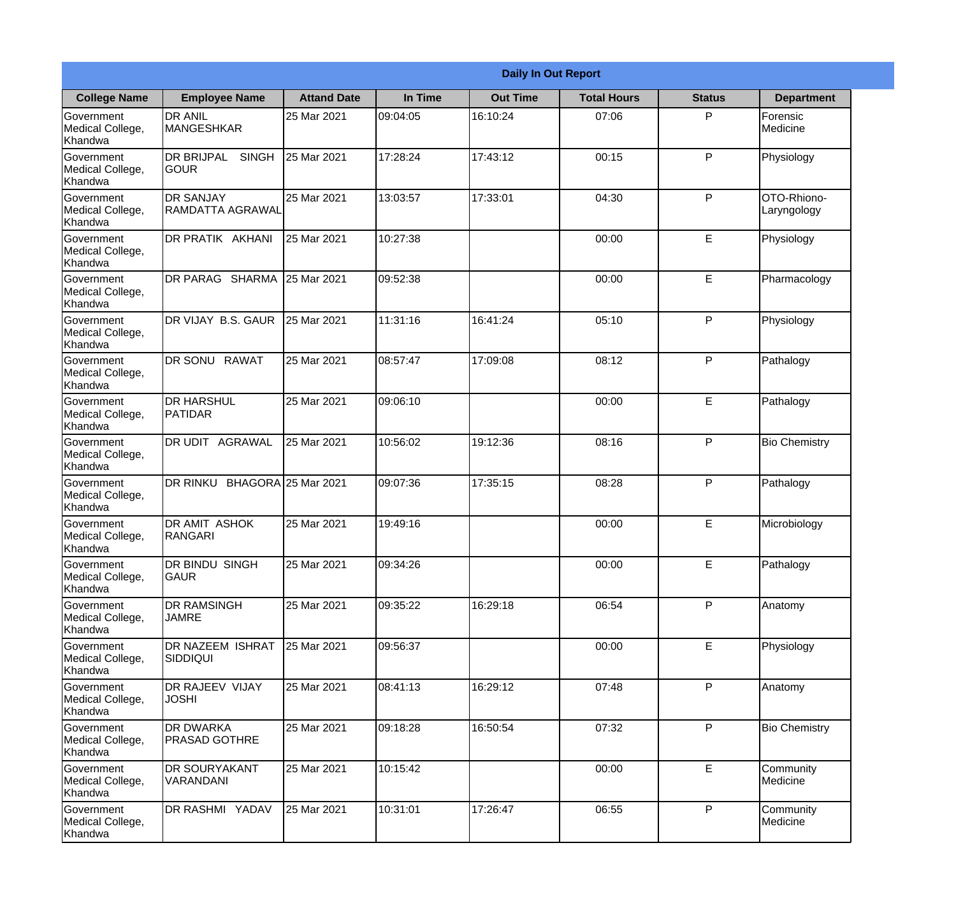|                                                  |                                            |                     |          | <b>Daily In Out Report</b> |                    |               |                            |
|--------------------------------------------------|--------------------------------------------|---------------------|----------|----------------------------|--------------------|---------------|----------------------------|
| <b>College Name</b>                              | <b>Employee Name</b>                       | <b>Attand Date</b>  | In Time  | <b>Out Time</b>            | <b>Total Hours</b> | <b>Status</b> | <b>Department</b>          |
| Government<br>Medical College,<br>Khandwa        | <b>DR ANIL</b><br><b>MANGESHKAR</b>        | 25 Mar 2021         | 09:04:05 | 16:10:24                   | 07:06              | P             | Forensic<br>Medicine       |
| Government<br>Medical College,<br>Khandwa        | <b>DR BRIJPAL</b><br><b>SINGH</b><br> GOUR | 25 Mar 2021         | 17:28:24 | 17:43:12                   | 00:15              | P             | Physiology                 |
| <b>Government</b><br>Medical College,<br>Khandwa | <b>IDR SANJAY</b><br>RAMDATTA AGRAWAL      | 25 Mar 2021         | 13:03:57 | 17:33:01                   | 04:30              | P             | OTO-Rhiono-<br>Laryngology |
| Government<br>Medical College,<br>Khandwa        | DR PRATIK AKHANI                           | 25 Mar 2021         | 10:27:38 |                            | 00:00              | E             | Physiology                 |
| Government<br>Medical College,<br>Khandwa        | DR PARAG SHARMA                            | 25 Mar 2021         | 09:52:38 |                            | 00:00              | E             | Pharmacology               |
| Government<br>Medical College,<br>Khandwa        | DR VIJAY B.S. GAUR                         | 25 Mar 2021         | 11:31:16 | 16:41:24                   | 05:10              | P             | Physiology                 |
| Government<br>Medical College,<br>Khandwa        | DR SONU RAWAT                              | 25 Mar 2021         | 08:57:47 | 17:09:08                   | 08:12              | P             | Pathalogy                  |
| <b>Government</b><br>Medical College,<br>Khandwa | <b>DR HARSHUL</b><br>PATIDAR               | 25 Mar 2021         | 09:06:10 |                            | 00:00              | E             | Pathalogy                  |
| Government<br>Medical College,<br>Khandwa        | <b>DR UDIT AGRAWAL</b>                     | 25 Mar 2021         | 10:56:02 | 19:12:36                   | 08:16              | P             | <b>Bio Chemistry</b>       |
| Government<br>Medical College,<br>Khandwa        | <b>DR RINKU</b>                            | BHAGORA 25 Mar 2021 | 09:07:36 | 17:35:15                   | 08:28              | P             | Pathalogy                  |
| Government<br>Medical College,<br>Khandwa        | <b>DR AMIT ASHOK</b><br><b>RANGARI</b>     | 25 Mar 2021         | 19:49:16 |                            | 00:00              | E             | Microbiology               |
| Government<br>Medical College,<br>Khandwa        | <b>DR BINDU SINGH</b><br><b>GAUR</b>       | 25 Mar 2021         | 09:34:26 |                            | 00:00              | E             | Pathalogy                  |
| Government<br>Medical College,<br>Khandwa        | <b>DR RAMSINGH</b><br><b>JAMRE</b>         | 25 Mar 2021         | 09:35:22 | 16:29:18                   | 06:54              | P             | Anatomy                    |
| Government<br>Medical College,<br>Khandwa        | <b>DR NAZEEM ISHRAT</b><br>SIDDIQUI        | 25 Mar 2021         | 09:56:37 |                            | 00:00              | E             | Physiology                 |
| Government<br>Medical College,<br>Khandwa        | <b>DR RAJEEV VIJAY</b><br><b>JOSHI</b>     | 25 Mar 2021         | 08:41:13 | 16:29:12                   | 07:48              | $\mathsf{P}$  | Anatomy                    |
| Government<br>Medical College,<br>Khandwa        | <b>DR DWARKA</b><br><b>PRASAD GOTHRE</b>   | 25 Mar 2021         | 09:18:28 | 16:50:54                   | 07:32              | P             | <b>Bio Chemistry</b>       |
| Government<br>Medical College,<br>Khandwa        | <b>DR SOURYAKANT</b><br>VARANDANI          | 25 Mar 2021         | 10:15:42 |                            | 00:00              | E             | Community<br>Medicine      |
| Government<br>Medical College,<br>Khandwa        | DR RASHMI YADAV                            | 25 Mar 2021         | 10:31:01 | 17:26:47                   | 06:55              | P             | Community<br>Medicine      |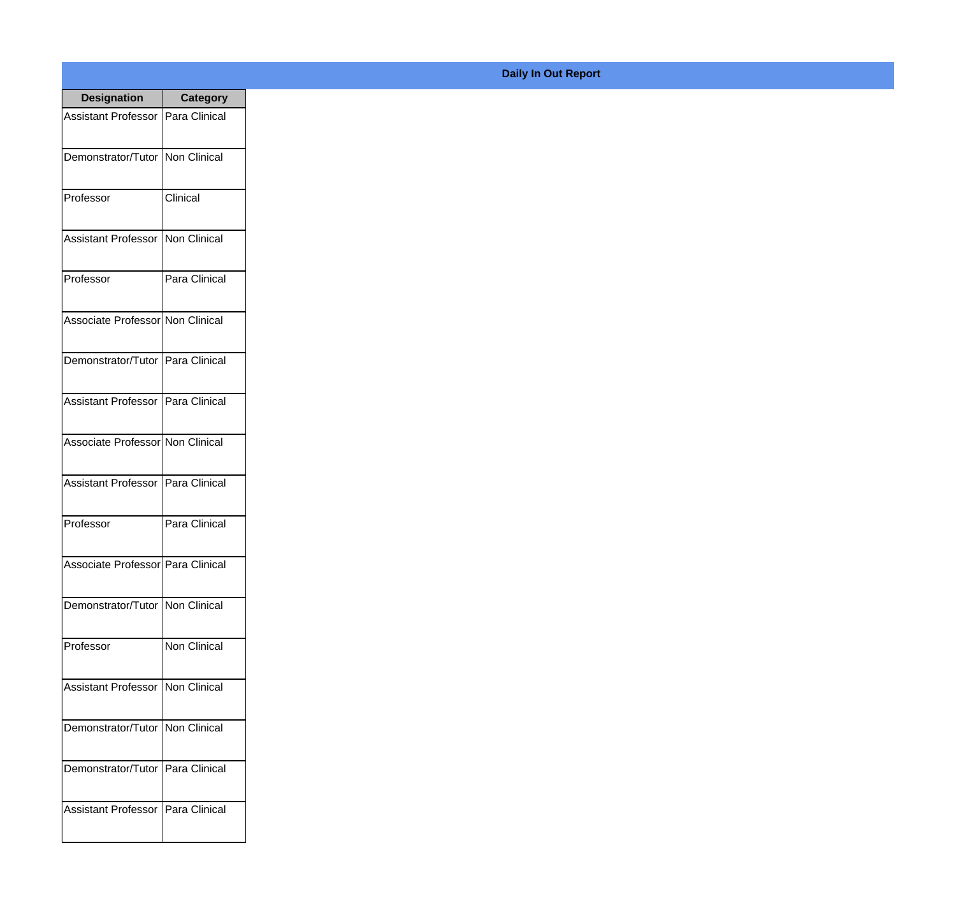| <b>Designation</b>                  | <b>Category</b> |
|-------------------------------------|-----------------|
| Assistant Professor   Para Clinical |                 |
| Demonstrator/Tutor   Non Clinical   |                 |
| Professor                           | Clinical        |
| Assistant Professor   Non Clinical  |                 |
| Professor                           | Para Clinical   |
| Associate Professor Non Clinical    |                 |
| Demonstrator/Tutor   Para Clinical  |                 |
| Assistant Professor   Para Clinical |                 |
| Associate Professor Non Clinical    |                 |
| Assistant Professor   Para Clinical |                 |
| Professor                           | Para Clinical   |
| Associate Professor Para Clinical   |                 |
| Demonstrator/Tutor   Non Clinical   |                 |
| Professor                           | Non Clinical    |
| Assistant Professor   Non Clinical  |                 |
| Demonstrator/Tutor   Non Clinical   |                 |
| Demonstrator/Tutor   Para Clinical  |                 |
| <b>Assistant Professor</b>          | Para Clinical   |

## **Daily In Out Report**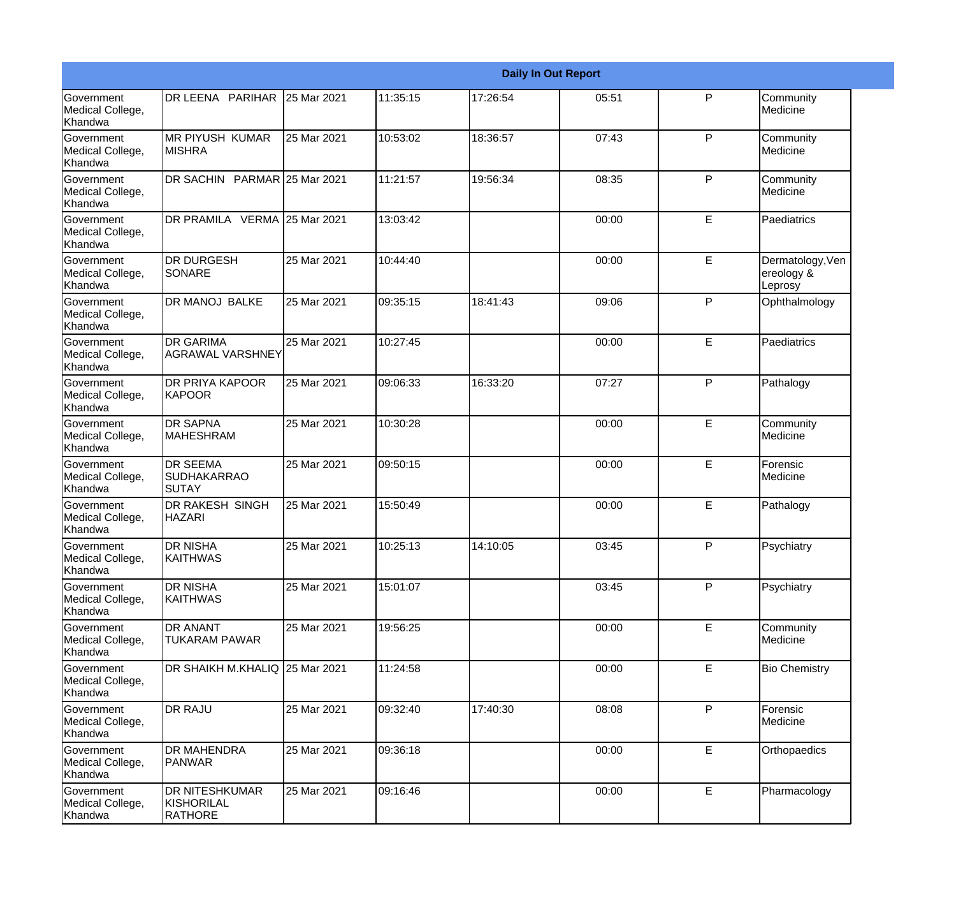|                                                  |                                                              |             |          |          | <b>Daily In Out Report</b> |              |                                           |
|--------------------------------------------------|--------------------------------------------------------------|-------------|----------|----------|----------------------------|--------------|-------------------------------------------|
| <b>Government</b><br>Medical College,<br>Khandwa | DR LEENA PARIHAR                                             | 25 Mar 2021 | 11:35:15 | 17:26:54 | 05:51                      | P            | Community<br>Medicine                     |
| <b>Government</b><br>Medical College,<br>Khandwa | <b>MR PIYUSH KUMAR</b><br><b>MISHRA</b>                      | 25 Mar 2021 | 10:53:02 | 18:36:57 | 07:43                      | $\mathsf{P}$ | Community<br>Medicine                     |
| <b>Government</b><br>Medical College,<br>Khandwa | DR SACHIN PARMAR 25 Mar 2021                                 |             | 11:21:57 | 19:56:34 | 08:35                      | P            | Community<br>Medicine                     |
| <b>Government</b><br>Medical College,<br>Khandwa | DR PRAMILA VERMA 25 Mar 2021                                 |             | 13:03:42 |          | 00:00                      | E            | Paediatrics                               |
| <b>Government</b><br>Medical College,<br>Khandwa | <b>DR DURGESH</b><br><b>SONARE</b>                           | 25 Mar 2021 | 10:44:40 |          | 00:00                      | E            | Dermatology, Ven<br>ereology &<br>Leprosy |
| <b>Government</b><br>Medical College,<br>Khandwa | <b>DR MANOJ BALKE</b>                                        | 25 Mar 2021 | 09:35:15 | 18:41:43 | 09:06                      | $\mathsf{P}$ | Ophthalmology                             |
| Government<br>Medical College,<br>Khandwa        | <b>DR GARIMA</b><br>IAGRAWAL VARSHNEY                        | 25 Mar 2021 | 10:27:45 |          | 00:00                      | E            | Paediatrics                               |
| Government<br>Medical College,<br>Khandwa        | <b>DR PRIYA KAPOOR</b><br><b>KAPOOR</b>                      | 25 Mar 2021 | 09:06:33 | 16:33:20 | 07:27                      | P            | Pathalogy                                 |
| Government<br>Medical College,<br>Khandwa        | <b>DR SAPNA</b><br><b>MAHESHRAM</b>                          | 25 Mar 2021 | 10:30:28 |          | 00:00                      | E            | Community<br>Medicine                     |
| <b>Government</b><br>Medical College,<br>Khandwa | <b>DR SEEMA</b><br><b>SUDHAKARRAO</b><br>SUTAY               | 25 Mar 2021 | 09:50:15 |          | 00:00                      | E            | Forensic<br>Medicine                      |
| <b>Government</b><br>Medical College,<br>Khandwa | <b>DR RAKESH SINGH</b><br><b>HAZARI</b>                      | 25 Mar 2021 | 15:50:49 |          | 00:00                      | E            | Pathalogy                                 |
| Government<br>Medical College,<br>Khandwa        | <b>DR NISHA</b><br><b>KAITHWAS</b>                           | 25 Mar 2021 | 10:25:13 | 14:10:05 | 03:45                      | P            | Psychiatry                                |
| <b>Government</b><br>Medical College,<br>Khandwa | <b>DR NISHA</b><br><b>KAITHWAS</b>                           | 25 Mar 2021 | 15:01:07 |          | 03:45                      | P            | Psychiatry                                |
| Government<br>Medical College,<br>Khandwa        | <b>DR ANANT</b><br>TUKARAM PAWAR                             | 25 Mar 2021 | 19:56:25 |          | 00:00                      | E            | Community<br>Medicine                     |
| Government<br>Medical College,<br>Khandwa        | DR SHAIKH M.KHALIQ 25 Mar 2021                               |             | 11:24:58 |          | 00:00                      | E            | <b>Bio Chemistry</b>                      |
| Government<br>Medical College,<br>Khandwa        | <b>DR RAJU</b>                                               | 25 Mar 2021 | 09:32:40 | 17:40:30 | 08:08                      | P            | Forensic<br>Medicine                      |
| Government<br>Medical College,<br>Khandwa        | <b>DR MAHENDRA</b><br>PANWAR                                 | 25 Mar 2021 | 09:36:18 |          | 00:00                      | E            | Orthopaedics                              |
| Government<br>Medical College,<br>Khandwa        | <b>DR NITESHKUMAR</b><br><b>KISHORILAL</b><br><b>RATHORE</b> | 25 Mar 2021 | 09:16:46 |          | 00:00                      | E            | Pharmacology                              |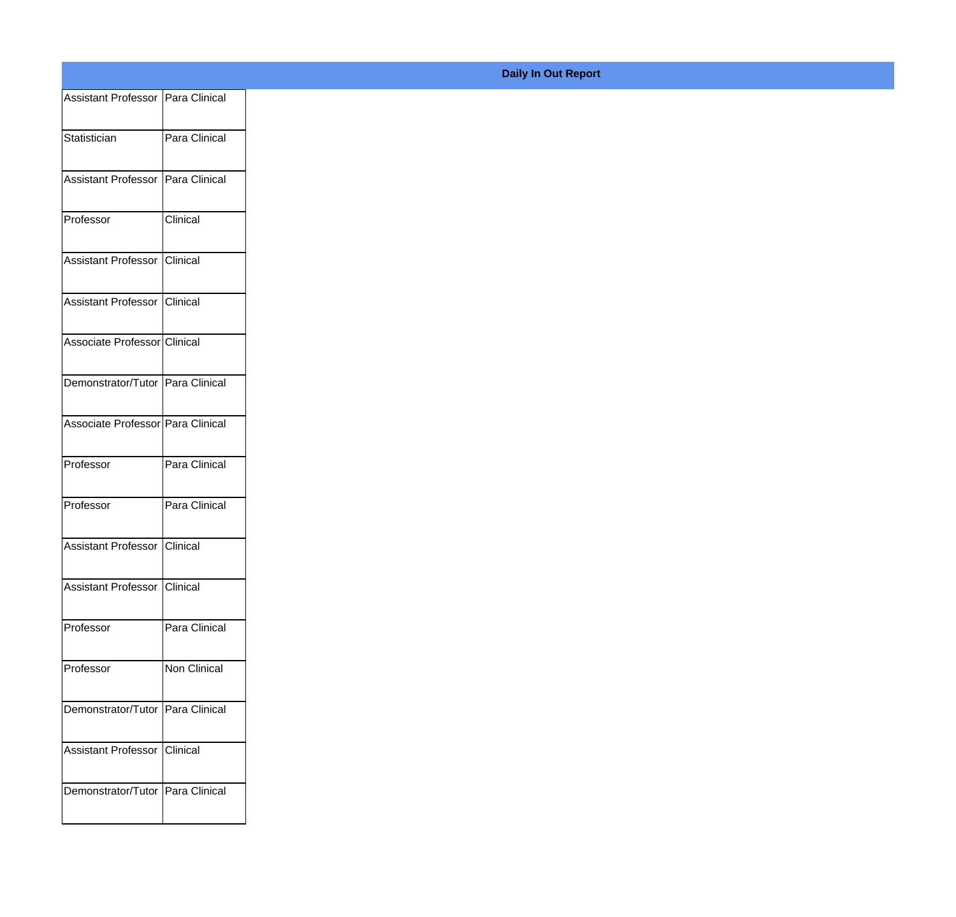| Assistant Professor Para Clinical |
|-----------------------------------|
| Para Clinical                     |
|                                   |
| Assistant Professor Para Clinical |
| Clinical                          |
| Assistant Professor Clinical      |
| Assistant Professor Clinical      |
| Associate Professor Clinical      |
| Demonstrator/Tutor Para Clinical  |
| Associate Professor Para Clinical |
|                                   |
| Para Clinical                     |
| Para Clinical                     |
| Assistant Professor Clinical      |
| Assistant Professor Clinical      |
| Para Clinical                     |
| Non Clinical                      |
| Demonstrator/Tutor Para Clinical  |
|                                   |
| Assistant Professor Clinical      |
| Demonstrator/Tutor Para Clinical  |
|                                   |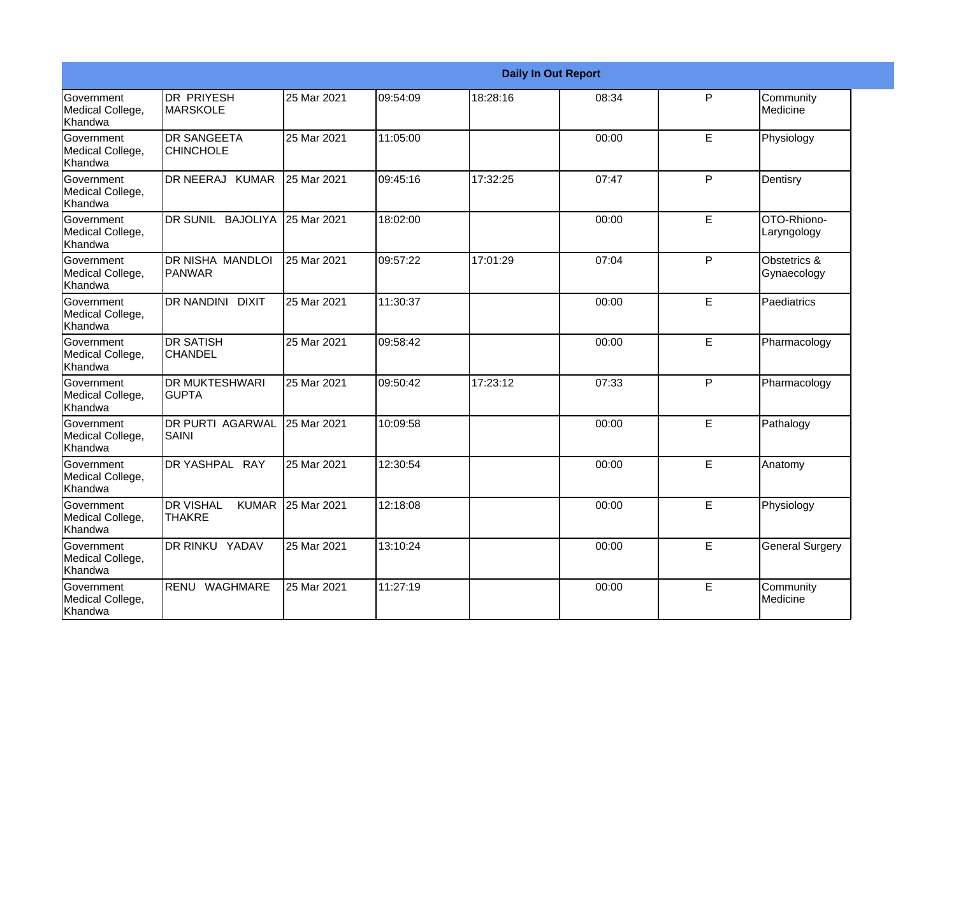|                                                  |                                                     |             |          | <b>Daily In Out Report</b> |       |             |                             |
|--------------------------------------------------|-----------------------------------------------------|-------------|----------|----------------------------|-------|-------------|-----------------------------|
| <b>Government</b><br>Medical College,<br>Khandwa | DR PRIYESH<br><b>MARSKOLE</b>                       | 25 Mar 2021 | 09:54:09 | 18:28:16                   | 08:34 | P           | Community<br>Medicine       |
| Government<br>Medical College,<br>Khandwa        | <b>DR SANGEETA</b><br><b>CHINCHOLE</b>              | 25 Mar 2021 | 11:05:00 |                            | 00:00 | E           | Physiology                  |
| <b>Government</b><br>Medical College,<br>Khandwa | DR NEERAJ KUMAR                                     | 25 Mar 2021 | 09:45:16 | 17:32:25                   | 07:47 | P           | Dentisry                    |
| Government<br>Medical College,<br>Khandwa        | DR SUNIL BAJOLIYA                                   | 25 Mar 2021 | 18:02:00 |                            | 00:00 | $\mathsf E$ | OTO-Rhiono-<br>Laryngology  |
| <b>Government</b><br>Medical College,<br>Khandwa | <b>DR NISHA MANDLOI</b><br><b>PANWAR</b>            | 25 Mar 2021 | 09:57:22 | 17:01:29                   | 07:04 | P           | Obstetrics &<br>Gynaecology |
| Government<br>Medical College,<br>Khandwa        | <b>DR NANDINI</b><br><b>DIXIT</b>                   | 25 Mar 2021 | 11:30:37 |                            | 00:00 | E           | Paediatrics                 |
| <b>Government</b><br>Medical College,<br>Khandwa | <b>DR SATISH</b><br><b>CHANDEL</b>                  | 25 Mar 2021 | 09:58:42 |                            | 00:00 | E           | Pharmacology                |
| Government<br>Medical College,<br>Khandwa        | <b>DR MUKTESHWARI</b><br><b>GUPTA</b>               | 25 Mar 2021 | 09:50:42 | 17:23:12                   | 07:33 | P           | Pharmacology                |
| Government<br>Medical College,<br>Khandwa        | <b>DR PURTI AGARWAL</b><br><b>SAINI</b>             | 25 Mar 2021 | 10:09:58 |                            | 00:00 | E           | Pathalogy                   |
| Government<br>Medical College,<br>Khandwa        | DR YASHPAL RAY                                      | 25 Mar 2021 | 12:30:54 |                            | 00:00 | E           | Anatomy                     |
| <b>Government</b><br>Medical College,<br>Khandwa | <b>I</b> DR VISHAL<br><b>KUMAR</b><br><b>THAKRE</b> | 25 Mar 2021 | 12:18:08 |                            | 00:00 | E.          | Physiology                  |
| Government<br>Medical College,<br>Khandwa        | <b>DR RINKU YADAV</b>                               | 25 Mar 2021 | 13:10:24 |                            | 00:00 | E           | <b>General Surgery</b>      |
| Government<br>Medical College,<br>Khandwa        | RENU<br><b>WAGHMARE</b>                             | 25 Mar 2021 | 11:27:19 |                            | 00:00 | E           | Community<br>Medicine       |